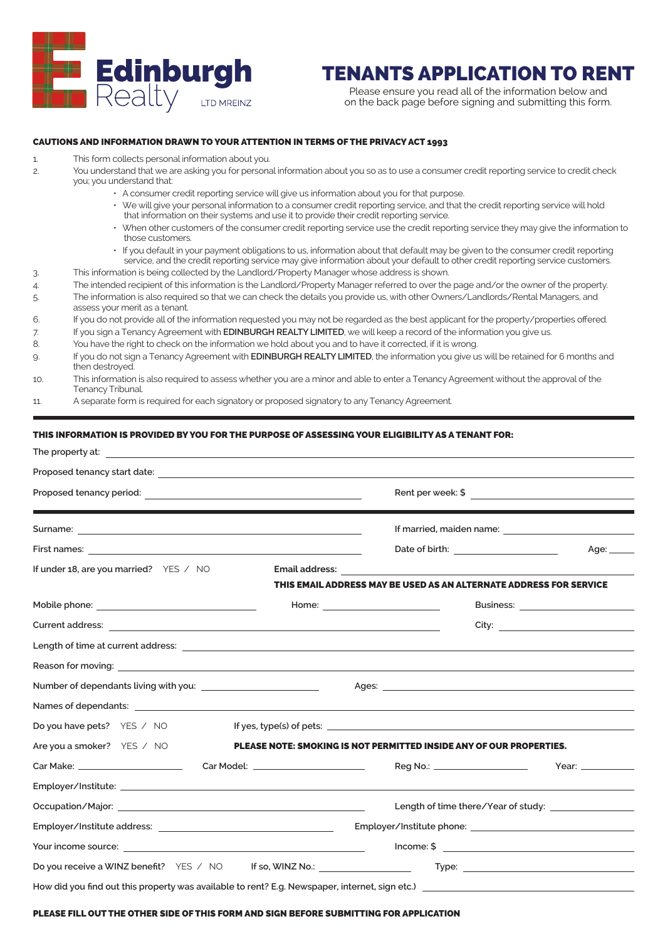

# TENANTS APPLICATION TO RENT

Please ensure you read all of the information below and on the back page before signing and submitting this form.

## CAUTIONS AND INFORMATION DRAWN TO YOUR ATTENTION IN TERMS OF THE PRIVACY ACT 1993

- 1. This form collects personal information about you.
- 2. You understand that we are asking you for personal information about you so as to use a consumer credit reporting service to credit check you; you understand that:
	- A consumer credit reporting service will give us information about you for that purpose.
		- We will give your personal information to a consumer credit reporting service, and that the credit reporting service will hold that information on their systems and use it to provide their credit reporting service.
		- When other customers of the consumer credit reporting service use the credit reporting service they may give the information to those customers.
		- If you default in your payment obligations to us, information about that default may be given to the consumer credit reporting service, and the credit reporting service may give information about your default to other credit reporting service customers.
- 3. This information is being collected by the Landlord/Property Manager whose address is shown.
- 4. The intended recipient of this information is the Landlord/Property Manager referred to over the page and/or the owner of the property.
- 5. The information is also required so that we can check the details you provide us, with other Owners/Landlords/Rental Managers, and assess your merit as a tenant.
- 6. If you do not provide all of the information requested you may not be regarded as the best applicant for the property/properties offered.
- 7. If you sign a Tenancy Agreement with **EDINBURGH REALTY LIMITED**, we will keep a record of the information you give us.
- 8. You have the right to check on the information we hold about you and to have it corrected, if it is wrong.
- 9. If you do not sign a Tenancy Agreement with **EDINBURGH REALTY LIMITED**, the information you give us will be retained for 6 months and then destroyed.
- 10. This information is also required to assess whether you are a minor and able to enter a Tenancy Agreement without the approval of the Tenancy Tribunal.
- 11. A separate form is required for each signatory or proposed signatory to any Tenancy Agreement.

### THIS INFORMATION IS PROVIDED BY YOU FOR THE PURPOSE OF ASSESSING YOUR ELIGIBILITY AS A TENANT FOR:

|                                                                                                                                                                                                                                                                                                                                                                                                                                                                                                                                                                                                                                                                                                                                                                                                                                                                                                  |  |  | Age: _____ |  |  |
|--------------------------------------------------------------------------------------------------------------------------------------------------------------------------------------------------------------------------------------------------------------------------------------------------------------------------------------------------------------------------------------------------------------------------------------------------------------------------------------------------------------------------------------------------------------------------------------------------------------------------------------------------------------------------------------------------------------------------------------------------------------------------------------------------------------------------------------------------------------------------------------------------|--|--|------------|--|--|
| If under 18, are you married? YES / NO                                                                                                                                                                                                                                                                                                                                                                                                                                                                                                                                                                                                                                                                                                                                                                                                                                                           |  |  |            |  |  |
|                                                                                                                                                                                                                                                                                                                                                                                                                                                                                                                                                                                                                                                                                                                                                                                                                                                                                                  |  |  |            |  |  |
|                                                                                                                                                                                                                                                                                                                                                                                                                                                                                                                                                                                                                                                                                                                                                                                                                                                                                                  |  |  |            |  |  |
|                                                                                                                                                                                                                                                                                                                                                                                                                                                                                                                                                                                                                                                                                                                                                                                                                                                                                                  |  |  |            |  |  |
| <b>Email address:</b> The contract of the contract of the contract of the contract of the contract of the contract of the contract of the contract of the contract of the contract of the contract of the contract of the contract<br>THIS EMAIL ADDRESS MAY BE USED AS AN ALTERNATE ADDRESS FOR SERVICE<br>Do you have pets? YES / NO<br>If yes, type(s) of pets: $\sqrt{a}$ by $\sqrt{a}$ by $\sqrt{a}$ by $\sqrt{a}$ by $\sqrt{a}$ by $\sqrt{a}$ by $\sqrt{a}$ by $\sqrt{a}$ by $\sqrt{a}$ by $\sqrt{a}$ by $\sqrt{a}$ by $\sqrt{a}$ by $\sqrt{a}$ by $\sqrt{a}$ by $\sqrt{a}$ by $\sqrt{a}$ by $\sqrt{a}$ by $\sqrt{a}$ b<br>Are you a smoker? YES / NO<br><b>PLEASE NOTE: SMOKING IS NOT PERMITTED INSIDE ANY OF OUR PROPERTIES.</b><br>Reg No.: _____________________<br>$I$ ncome: \$ $\qquad \qquad$<br>Do you receive a WINZ benefit?  YES / NO   If so, WINZ No.: ____________________ |  |  |            |  |  |
|                                                                                                                                                                                                                                                                                                                                                                                                                                                                                                                                                                                                                                                                                                                                                                                                                                                                                                  |  |  |            |  |  |
|                                                                                                                                                                                                                                                                                                                                                                                                                                                                                                                                                                                                                                                                                                                                                                                                                                                                                                  |  |  |            |  |  |
|                                                                                                                                                                                                                                                                                                                                                                                                                                                                                                                                                                                                                                                                                                                                                                                                                                                                                                  |  |  |            |  |  |
|                                                                                                                                                                                                                                                                                                                                                                                                                                                                                                                                                                                                                                                                                                                                                                                                                                                                                                  |  |  |            |  |  |
|                                                                                                                                                                                                                                                                                                                                                                                                                                                                                                                                                                                                                                                                                                                                                                                                                                                                                                  |  |  |            |  |  |
|                                                                                                                                                                                                                                                                                                                                                                                                                                                                                                                                                                                                                                                                                                                                                                                                                                                                                                  |  |  |            |  |  |
|                                                                                                                                                                                                                                                                                                                                                                                                                                                                                                                                                                                                                                                                                                                                                                                                                                                                                                  |  |  |            |  |  |
|                                                                                                                                                                                                                                                                                                                                                                                                                                                                                                                                                                                                                                                                                                                                                                                                                                                                                                  |  |  |            |  |  |
|                                                                                                                                                                                                                                                                                                                                                                                                                                                                                                                                                                                                                                                                                                                                                                                                                                                                                                  |  |  |            |  |  |
|                                                                                                                                                                                                                                                                                                                                                                                                                                                                                                                                                                                                                                                                                                                                                                                                                                                                                                  |  |  |            |  |  |
|                                                                                                                                                                                                                                                                                                                                                                                                                                                                                                                                                                                                                                                                                                                                                                                                                                                                                                  |  |  |            |  |  |